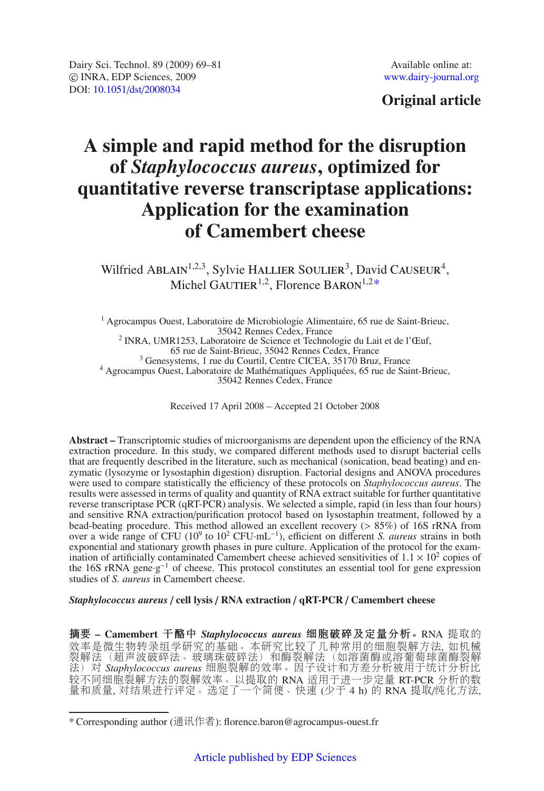Dairy Sci. Technol. 89 (2009) 69–81 Available online at: -c INRA, EDP Sciences, 2009 [www.dairy-journal.org](http://www.dairy-journal.org) DOI: 10.1051/dst/[2008034](http://dx.doi.org/10.1051/dst/2008034)

## **Original article**

# **A simple and rapid method for the disruption of** *Staphylococcus aureus***, optimized for quantitative reverse transcriptase applications: Application for the examination of Camembert cheese**

Wilfried ABLAIN<sup>1,2,3</sup>, Sylvie HALLIER SOULIER<sup>3</sup>, David CAUSEUR<sup>4</sup>, Michel GAUTIER<sup>1,2</sup>, Florence BARON<sup>1,2\*</sup>

<sup>1</sup> Agrocampus Ouest, Laboratoire de Microbiologie Alimentaire, 65 rue de Saint-Brieuc,  $35042$  Rennes Cedex, France <sup>2</sup> INRA, UMR1253, Laboratoire de Science et Technologie du Lait et de l'Œuf, 65 rue de Saint-Brieuc, 35042 Rennes Cedex, France <sup>3</sup> Genesystems, 1 rue du Courtil, Centre CICEA, 35170 Bruz, France  $4$  Agrocampus Ouest, Laboratoire de Mathématiques Appliquées, 65 rue de Saint-Brieuc, 35042 Rennes Cedex, France

Received 17 April 2008 – Accepted 21 October 2008

**Abstract –** Transcriptomic studies of microorganisms are dependent upon the efficiency of the RNA extraction procedure. In this study, we compared different methods used to disrupt bacterial cells that are frequently described in the literature, such as mechanical (sonication, bead beating) and enzymatic (lysozyme or lysostaphin digestion) disruption. Factorial designs and ANOVA procedures were used to compare statistically the efficiency of these protocols on *Staphylococcus aureus*. The results were assessed in terms of quality and quantity of RNA extract suitable for further quantitative reverse transcriptase PCR (qRT-PCR) analysis. We selected a simple, rapid (in less than four hours) and sensitive RNA extraction/purification protocol based on lysostaphin treatment, followed by a bead-beating procedure. This method allowed an excellent recovery  $(> 85\%)$  of 16S rRNA from bead-beating procedure. This method allowed an excellent recovery (> 85%) of 16S rRNA from over a wide range of CFU (10<sup>9</sup> to 10<sup>2</sup> CFU·mL<sup>−1</sup>), efficient on different *S. aureus* strains in both exponential and stationary growth phases in pure culture. Application of the protocol for the examination of artificially contaminated Camembert cheese achieved sensitivities of  $1.1 \times 10^2$  copies of ination of artificially contaminated Camembert cheese achieved sensitivities of  $1.1 \times 10^2$  copies of the 16S rRNA gene-g<sup>-1</sup> of cheese. This protocol constitutes an essential tool for gene expression studies of S. *aure* 

#### *Staphylococcus aureus* / **cell lysis** / **RNA extraction** / **qRT-PCR** / **Camembert cheese**

摘要 **– Camembert** 干酪中 *Staphylococcus aureus* 细胞破碎及定量分析。RNA 提取的 效率是微生物转录组学研究的基础。本研究比较了几种常用的细胞裂解方法, 如机械 裂解法(超声波破碎法、玻璃珠破碎法)和酶裂解法(如溶菌酶或溶葡萄球菌酶裂解 法)对 *Staphylococcus aureus* 细胞裂解的效率。因子设计和方差分析被用于统计分析比 较不同细胞裂解方法的裂解效率。以提取的 RNA 适用于进一步定量 RT-PCR 分析的数 量和质量, 对结果进行评定。选定了一个简便、快速 (少于 4 h) 的 RNA 提取/纯化方法,

<sup>\*</sup> Corresponding author (通讯作者): florence.baron@agrocampus-ouest.fr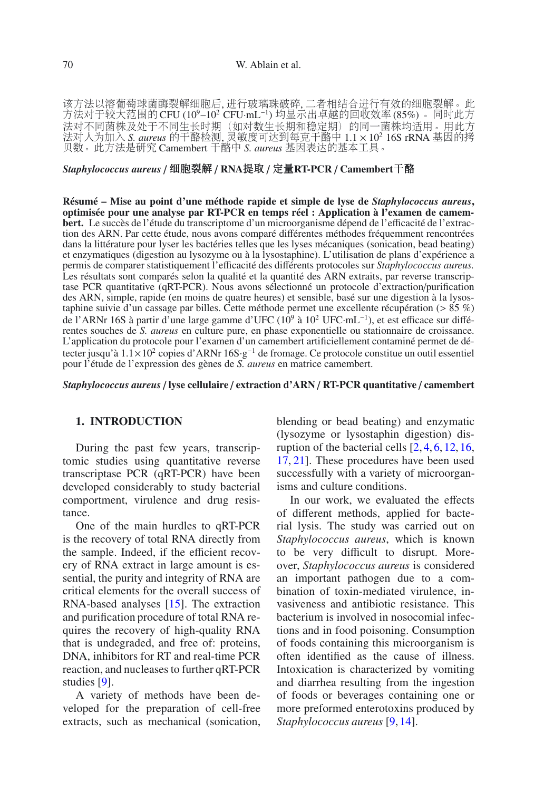该方法以溶葡萄球菌酶裂解细胞后, 进行玻璃珠破碎, 二者相结合进行有效的细胞裂解。此 方法对于较大范围的 CFU (109–102 CFU·mL−<sup>1</sup> ) 均显示出卓越的回收效率 (85%) 。同时此方 法对不同菌株及处于不同生长时期(如对数生长期和稳定期)的同一菌株均适用。用此方 法对人为加入 *S. aureus* 的干酪检测, 灵敏度可达到每克干酪中 1.1 × 10<sup>2</sup> 16S rRNA 基因的拷<br>贝数。此方法是研究 Camembert 干酪中 *S. aureus* 基因表达的基本工具。 贝数。此方法是研究 Camembert 干酪中 *S. aureus* 基因表达的基本工具。

#### *Staphylococcus aureus* / 细胞裂解 / **RNA**提取 / 定量**RT-PCR** / **Camembert**干酪

**Résumé – Mise au point d'une méthode rapide et simple de lyse de** *Staphylococcus aureus***, optimisée pour une analyse par RT-PCR en temps réel : Application à l'examen de camembert.** Le succès de l'étude du transcriptome d'un microorganisme dépend de l'efficacité de l'extraction des ARN. Par cette étude, nous avons comparé différentes méthodes fréquemment rencontrées dans la littérature pour lyser les bactéries telles que les lyses mécaniques (sonication, bead beating) et enzymatiques (digestion au lysozyme ou à la lysostaphine). L'utilisation de plans d'expérience a permis de comparer statistiquement l'efficacité des différents protocoles sur *Staphylococcus aureus.* Les résultats sont comparés selon la qualité et la quantité des ARN extraits, par reverse transcriptase PCR quantitative (qRT-PCR). Nous avons sélectionné un protocole d'extraction/purification des ARN, simple, rapide (en moins de quatre heures) et sensible, basé sur une digestion à la lysostaphine suivie d'un cassage par billes. Cette méthode permet une excellente récupération (> 85 %) de l'ARNr 16S à partir d'une large gamme d'UFC (109 à 102 UFC·mL−<sup>1</sup> ), et est efficace sur différentes souches de *S. aureus* en culture pure, en phase exponentielle ou stationnaire de croissance. L'application du protocole pour l'examen d'un camembert artificiellement contaminé permet de détecter jusqu'à 1.1×<sup>102</sup> copies d'ARNr 16S·g−<sup>1</sup> de fromage. Ce protocole constitue un outil essentiel pour l'étude de l'expression des gènes de *S. aureus* en matrice camembert.

#### *Staphylococcus aureus* / **lyse cellulaire** / **extraction d'ARN** / **RT-PCR quantitative** / **camembert**

### **1. INTRODUCTION**

During the past few years, transcriptomic studies using quantitative reverse transcriptase PCR (qRT-PCR) have been developed considerably to study bacterial comportment, virulence and drug resistance.

One of the main hurdles to qRT-PCR is the recovery of total RNA directly from the sample. Indeed, if the efficient recovery of RNA extract in large amount is essential, the purity and integrity of RNA are critical elements for the overall success of RNA-based analyses [\[15](#page-11-0)]. The extraction and purification procedure of total RNA requires the recovery of high-quality RNA that is undegraded, and free of: proteins, DNA, inhibitors for RT and real-time PCR reaction, and nucleases to further qRT-PCR studies [\[9](#page-11-1)].

A variety of methods have been developed for the preparation of cell-free extracts, such as mechanical (sonication, blending or bead beating) and enzymatic (lysozyme or lysostaphin digestion) disruption of the bacterial cells [\[2,](#page-11-2) [4,](#page-11-3) [6](#page-11-4), [12,](#page-11-5) [16,](#page-12-0) [17](#page-12-1), [21\]](#page-12-2). These procedures have been used successfully with a variety of microorganisms and culture conditions.

In our work, we evaluated the effects of different methods, applied for bacterial lysis. The study was carried out on *Staphylococcus aureus*, which is known to be very difficult to disrupt. Moreover, *Staphylococcus aureus* is considered an important pathogen due to a combination of toxin-mediated virulence, invasiveness and antibiotic resistance. This bacterium is involved in nosocomial infections and in food poisoning. Consumption of foods containing this microorganism is often identified as the cause of illness. Intoxication is characterized by vomiting and diarrhea resulting from the ingestion of foods or beverages containing one or more preformed enterotoxins produced by *Staphylococcus aureus* [\[9](#page-11-1), [14\]](#page-11-6).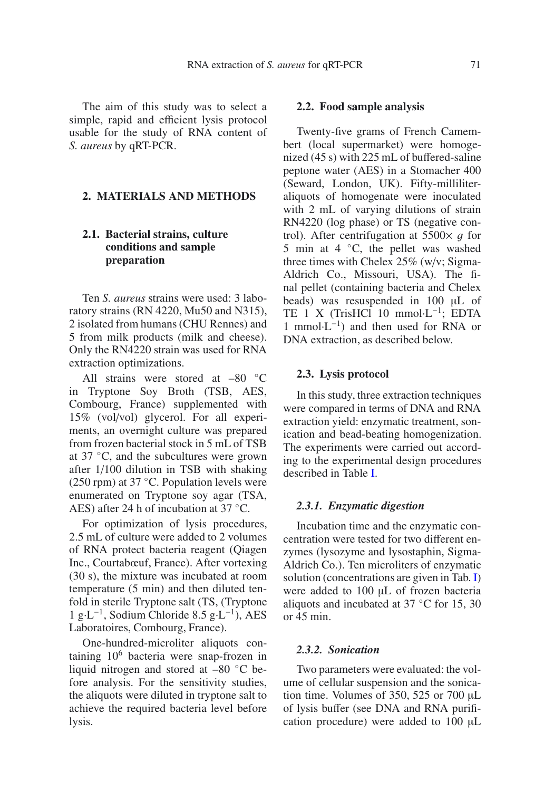The aim of this study was to select a simple, rapid and efficient lysis protocol usable for the study of RNA content of *S. aureus* by qRT-PCR.

#### **2. MATERIALS AND METHODS**

## **2.1. Bacterial strains, culture conditions and sample preparation**

Ten *S. aureus* strains were used: 3 laboratory strains (RN 4220, Mu50 and N315), 2 isolated from humans (CHU Rennes) and 5 from milk products (milk and cheese). Only the RN4220 strain was used for RNA extraction optimizations.

All strains were stored at –80 ◦C in Tryptone Soy Broth (TSB, AES, Combourg, France) supplemented with 15% (vol/vol) glycerol. For all experiments, an overnight culture was prepared from frozen bacterial stock in 5 mL of TSB at 37 ◦C, and the subcultures were grown after 1/100 dilution in TSB with shaking (250 rpm) at 37  $°C$ . Population levels were enumerated on Tryptone soy agar (TSA, AES) after 24 h of incubation at 37 ◦C.

For optimization of lysis procedures, 2.5 mL of culture were added to 2 volumes of RNA protect bacteria reagent (Qiagen Inc., Courtabœuf, France). After vortexing (30 s), the mixture was incubated at room temperature (5 min) and then diluted tenfold in sterile Tryptone salt (TS, (Tryptone 1 g·L−1, Sodium Chloride 8.5 g·L−1), AES Laboratoires, Combourg, France).

One-hundred-microliter aliquots containing 10<sup>6</sup> bacteria were snap-frozen in liquid nitrogen and stored at –80 ◦C before analysis. For the sensitivity studies, the aliquots were diluted in tryptone salt to achieve the required bacteria level before lysis.

#### **2.2. Food sample analysis**

Twenty-five grams of French Camembert (local supermarket) were homogenized (45 s) with 225 mL of buffered-saline peptone water (AES) in a Stomacher 400 (Seward, London, UK). Fifty-milliliteraliquots of homogenate were inoculated with 2 mL of varying dilutions of strain RN4220 (log phase) or TS (negative control). After centrifugation at  $5500 \times q$  for 5 min at 4 ◦C, the pellet was washed three times with Chelex 25% (w/v; Sigma-Aldrich Co., Missouri, USA). The final pellet (containing bacteria and Chelex beads) was resuspended in 100 µL of TE 1 X (TrisHCl 10 mmol·L−1; EDTA  $1 \text{ mmol·L}^{-1}$  and then used for RNA or DNA extraction, as described below.

#### **2.3. Lysis protocol**

In this study, three extraction techniques were compared in terms of DNA and RNA extraction yield: enzymatic treatment, sonication and bead-beating homogenization. The experiments were carried out according to the experimental design procedures described in Table [I.](#page-3-0)

#### *2.3.1. Enzymatic digestion*

Incubation time and the enzymatic concentration were tested for two different enzymes (lysozyme and lysostaphin, Sigma-Aldrich Co.). Ten microliters of enzymatic solution (concentrations are given in Tab. [I\)](#page-3-0) were added to 100 µL of frozen bacteria aliquots and incubated at  $37 \degree$ C for 15, 30 or 45 min.

## *2.3.2. Sonication*

Two parameters were evaluated: the volume of cellular suspension and the sonication time. Volumes of 350, 525 or 700 µL of lysis buffer (see DNA and RNA purification procedure) were added to 100 µL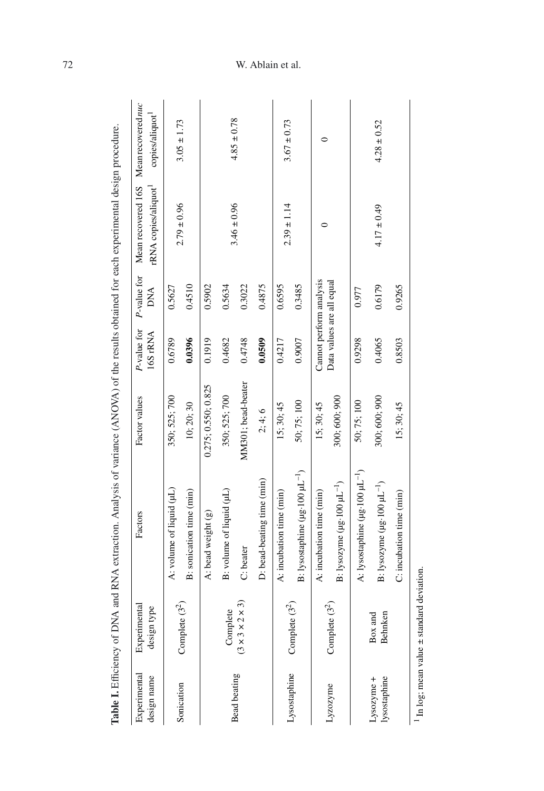|                             |                                         | Table I. Efficiency of DNA and RNA extraction. Analysis of variance (ANOVA) of the results obtained for each experimental design procedure. |                     |                           |                    |                                                        |                                                   |
|-----------------------------|-----------------------------------------|---------------------------------------------------------------------------------------------------------------------------------------------|---------------------|---------------------------|--------------------|--------------------------------------------------------|---------------------------------------------------|
| Experimental<br>design name | Experimental<br>design type             | Factors                                                                                                                                     | Factor values       | P-value for<br>16S rRNA   | P-value for<br>DNA | Mean recovered 16S<br>rRNA copies/aliquot <sup>1</sup> | Mean recovered nuc<br>copies/aliquot <sup>1</sup> |
|                             |                                         | A: volume of liquid (µL)                                                                                                                    | 350; 525; 700       | 0.6789                    | 0.5627             | $2.79 \pm 0.96$                                        | $3.05 \pm 1.73$                                   |
| Sonication                  | Complete $(3^2)$                        | B: sonication time (min)                                                                                                                    | 10; 20; 30          | 0.0396                    | 0.4510             |                                                        |                                                   |
|                             |                                         | A: bead weight (g)                                                                                                                          | 0.275; 0.550; 0.825 | 0.1919                    | 0.5902             |                                                        |                                                   |
|                             | Complete                                | B: volume of liquid (µL)                                                                                                                    | 350; 525; 700       | 0.4682                    | 0.5634             | $3.46 \pm 0.96$                                        | $4.85 \pm 0.78$                                   |
| <b>Bead beating</b>         | $2 \times 3$<br>$(3 \times 3 \times 2)$ | C: beater                                                                                                                                   | MM301; bead-beater  | 0.4748                    | 0.3022             |                                                        |                                                   |
|                             |                                         | D: bead-beating time (min)                                                                                                                  | 2:4:6               | 0.0509                    | 0.4875             |                                                        |                                                   |
|                             |                                         | A: incubation time (min)                                                                                                                    | 15; 30; 45          | 0.4217                    | 0.6595             | $2.39 \pm 1.14$                                        | $3.67 \pm 0.73$                                   |
| Lysostaphine                | $(3^2)$<br>Complete                     | B: lysostaphine (µg. 100 µL <sup>-1</sup> )                                                                                                 | 50; 75; 100         | 0.9007                    | 0.3485             |                                                        |                                                   |
|                             |                                         | A: incubation time (min)                                                                                                                    | 15; 30; 45          | Cannot perform analysis   |                    |                                                        |                                                   |
| Lyzozyme                    | $(3^2)$<br>Complete                     | B: lysozyme ( $\mu$ g·100 $\mu$ L <sup>-1</sup> )                                                                                           | 300; 600; 900       | Data values are all equal |                    |                                                        |                                                   |
|                             |                                         | A: lysostaphine (µg. 100 µL <sup>-1</sup> )                                                                                                 | 50; 75; 100         | 0.9298                    | 0.977              |                                                        |                                                   |
| lysostaphine<br>Lysozyme +  | Behnken<br>Box and                      | B: lysozyme $(\mu g \cdot 100 \mu L^{-1})$                                                                                                  | 300; 600; 900       | 0.4065                    | 0.6179             | $4.17 \pm 0.49$                                        | $4.28 \pm 0.52$                                   |
|                             |                                         | C: incubation time (min)                                                                                                                    | 15; 30; 45          | 0.8503                    | 0.9265             |                                                        |                                                   |

1 In log; mean value ± standard deviation.

<span id="page-3-0"></span><sup>1</sup> In log; mean value  $\pm$  standard deviation.

 $\ddot{\phantom{a}}$  $1$  docio  $\ddot{\phantom{a}}$ l,  $\frac{1}{2}$  $\overline{\phantom{a}}$ l,  $\mathcal{L}$ **ATOTTA**  $\ddot{\phantom{a}}$  $\epsilon$ J

72 W. Ablain et al.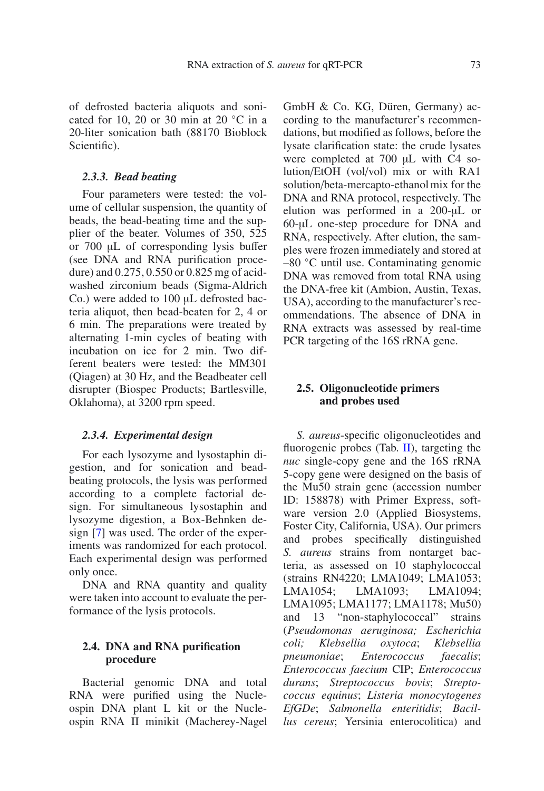of defrosted bacteria aliquots and sonicated for 10, 20 or 30 min at 20  $°C$  in a 20-liter sonication bath (88170 Bioblock Scientific).

#### *2.3.3. Bead beating*

Four parameters were tested: the volume of cellular suspension, the quantity of beads, the bead-beating time and the supplier of the beater. Volumes of 350, 525 or 700 µL of corresponding lysis buffer (see DNA and RNA purification procedure) and 0.275, 0.550 or 0.825 mg of acidwashed zirconium beads (Sigma-Aldrich Co.) were added to 100 µL defrosted bacteria aliquot, then bead-beaten for 2, 4 or 6 min. The preparations were treated by alternating 1-min cycles of beating with incubation on ice for 2 min. Two different beaters were tested: the MM301 (Qiagen) at 30 Hz, and the Beadbeater cell disrupter (Biospec Products; Bartlesville, Oklahoma), at 3200 rpm speed.

#### *2.3.4. Experimental design*

For each lysozyme and lysostaphin digestion, and for sonication and beadbeating protocols, the lysis was performed according to a complete factorial design. For simultaneous lysostaphin and lysozyme digestion, a Box-Behnken design [\[7](#page-11-7)] was used. The order of the experiments was randomized for each protocol. Each experimental design was performed only once.

DNA and RNA quantity and quality were taken into account to evaluate the performance of the lysis protocols.

## **2.4. DNA and RNA purification procedure**

Bacterial genomic DNA and total RNA were purified using the Nucleospin DNA plant L kit or the Nucleospin RNA II minikit (Macherey-Nagel GmbH & Co. KG, Düren, Germany) according to the manufacturer's recommendations, but modified as follows, before the lysate clarification state: the crude lysates were completed at 700 µL with C4 solution/EtOH (vol/vol) mix or with RA1 solution/beta-mercapto-ethanol mix for the DNA and RNA protocol, respectively. The elution was performed in a 200-µL or 60-µL one-step procedure for DNA and RNA, respectively. After elution, the samples were frozen immediately and stored at –80 ◦C until use. Contaminating genomic DNA was removed from total RNA using the DNA-free kit (Ambion, Austin, Texas, USA), according to the manufacturer's recommendations. The absence of DNA in RNA extracts was assessed by real-time PCR targeting of the 16S rRNA gene.

## **2.5. Oligonucleotide primers and probes used**

*S. aureus*-specific oligonucleotides and fluorogenic probes (Tab.  $II$ ), targeting the *nuc* single-copy gene and the 16S rRNA 5-copy gene were designed on the basis of the Mu50 strain gene (accession number ID: 158878) with Primer Express, software version 2.0 (Applied Biosystems, Foster City, California, USA). Our primers and probes specifically distinguished *S. aureus* strains from nontarget bacteria, as assessed on 10 staphylococcal (strains RN4220; LMA1049; LMA1053; LMA1054; LMA1093; LMA1094; LMA1095; LMA1177; LMA1178; Mu50) and 13 "non-staphylococcal" strains (*Pseudomonas aeruginosa; Escherichia coli; Klebsellia oxytoca*; *Klebsellia pneumoniae*; *Enterococcus faecalis*; *Enterococcus faecium* CIP; *Enterococcus durans*; *Streptococcus bovis*; *Streptococcus equinus*; *Listeria monocytogenes EfGDe*; *Salmonella enteritidis*; *Bacillus cereus*; Yersinia enterocolitica) and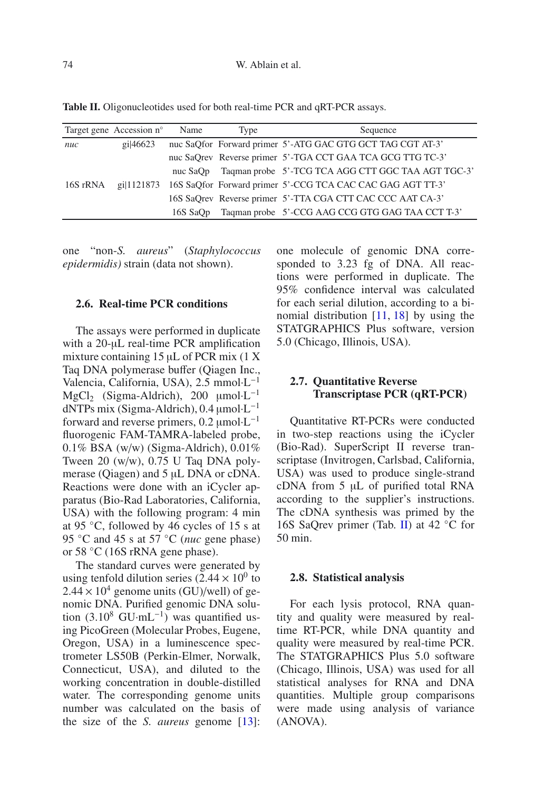<span id="page-5-0"></span>**Table II.** Oligonucleotides used for both real-time PCR and qRT-PCR assays.

|          | Target gene Accession n° Name |          | Type | Sequence                                                              |
|----------|-------------------------------|----------|------|-----------------------------------------------------------------------|
| nuc      | $g_1$  46623                  |          |      | nuc SaQfor Forward primer 5'-ATG GAC GTG GCT TAG CGT AT-3'            |
|          |                               |          |      | nuc SaQrev Reverse primer 5'-TGA CCT GAA TCA GCG TTG TC-3'            |
|          |                               |          |      | nuc SaQp Taqman probe 5'-TCG TCA AGG CTT GGC TAA AGT TGC-3'           |
| 16S rRNA |                               |          |      | gi 1121873 16S SaQfor Forward primer 5'-CCG TCA CAC CAC GAG AGT TT-3' |
|          |                               |          |      | 16S SaOrev Reverse primer 5'-TTA CGA CTT CAC CCC AAT CA-3'            |
|          |                               | 16S SaOp |      | Taqman probe 5'-CCG AAG CCG GTG GAG TAA CCT T-3'                      |

one "non-*S. aureus*" (*Staphylococcus epidermidis)* strain (data not shown).

#### **2.6. Real-time PCR conditions**

The assays were performed in duplicate with a 20-µL real-time PCR amplification mixture containing 15 µL of PCR mix (1 X Taq DNA polymerase buffer (Qiagen Inc., Valencia, California, USA), 2.5 mmol·L−<sup>1</sup> MgCl<sub>2</sub> (Sigma-Aldrich), 200 µmol·L<sup>-1</sup> dNTPs mix (Sigma-Aldrich), 0.4 µmol·L−<sup>1</sup> forward and reverse primers,  $0.2 \mu$ mol·L<sup>-1</sup> fluorogenic FAM-TAMRA-labeled probe, 0.1% BSA (w/w) (Sigma-Aldrich), 0.01% Tween  $20 \, (w/w)$ ,  $0.75 \, U$  Taq DNA polymerase (Qiagen) and 5 µL DNA or cDNA. Reactions were done with an iCycler apparatus (Bio-Rad Laboratories, California, USA) with the following program: 4 min at 95 ◦C, followed by 46 cycles of 15 s at 95 ◦C and 45 s at 57 ◦C (*nuc* gene phase) or 58 ◦C (16S rRNA gene phase).

The standard curves were generated by using tenfold dilution series  $(2.44 \times 10^0$  to  $2.44 \times 10^4$  genome units (GU)/well) of genomic DNA. Purified genomic DNA solution  $(3.10^8 \text{ GU} \cdot \text{mL}^{-1})$  was quantified using PicoGreen (Molecular Probes, Eugene, Oregon, USA) in a luminescence spectrometer LS50B (Perkin-Elmer, Norwalk, Connecticut, USA), and diluted to the working concentration in double-distilled water. The corresponding genome units number was calculated on the basis of the size of the *S. aureus* genome [\[13\]](#page-11-8): one molecule of genomic DNA corresponded to 3.23 fg of DNA. All reactions were performed in duplicate. The 95% confidence interval was calculated for each serial dilution, according to a binomial distribution [\[11](#page-11-9), [18](#page-12-3)] by using the STATGRAPHICS Plus software, version 5.0 (Chicago, Illinois, USA).

## **2.7. Quantitative Reverse Transcriptase PCR (qRT-PCR)**

Quantitative RT-PCRs were conducted in two-step reactions using the iCycler (Bio-Rad). SuperScript II reverse transcriptase (Invitrogen, Carlsbad, California, USA) was used to produce single-strand cDNA from 5 µL of purified total RNA according to the supplier's instructions. The cDNA synthesis was primed by the 16S SaQrev primer (Tab. [II\)](#page-5-0) at 42 ◦C for 50 min.

#### **2.8. Statistical analysis**

For each lysis protocol, RNA quantity and quality were measured by realtime RT-PCR, while DNA quantity and quality were measured by real-time PCR. The STATGRAPHICS Plus 5.0 software (Chicago, Illinois, USA) was used for all statistical analyses for RNA and DNA quantities. Multiple group comparisons were made using analysis of variance (ANOVA).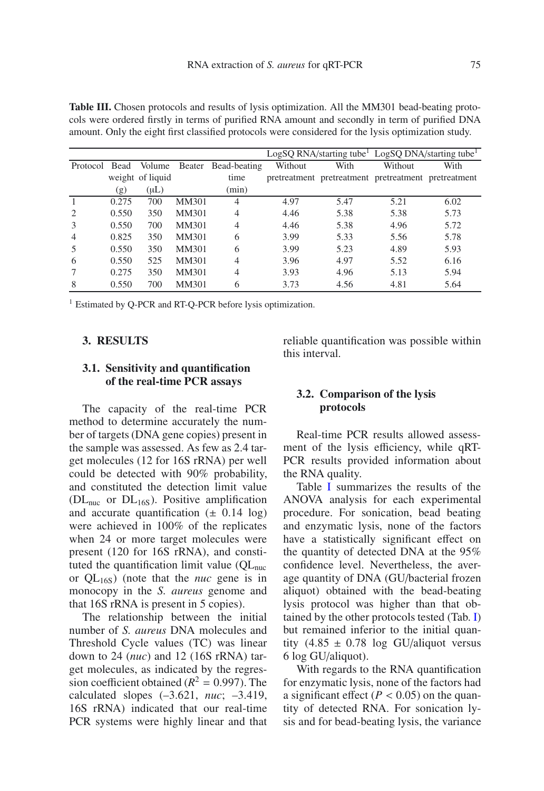<span id="page-6-0"></span>**Table III.** Chosen protocols and results of lysis optimization. All the MM301 bead-beating protocols were ordered firstly in terms of purified RNA amount and secondly in term of purified DNA amount. Only the eight first classified protocols were considered for the lysis optimization study.

|                |       |                  |              |                |         |      | LogSQ RNA/starting tube <sup>1</sup> LogSQ DNA/starting tube <sup>1</sup> |      |
|----------------|-------|------------------|--------------|----------------|---------|------|---------------------------------------------------------------------------|------|
| Protocol       | Bead  | Volume           | Beater       | Bead-beating   | Without | With | Without                                                                   | With |
|                |       | weight of liquid |              | time           |         |      | pretreatment pretreatment pretreatment pretreatment                       |      |
|                | (g)   | $(\mu L)$        |              | (min)          |         |      |                                                                           |      |
|                | 0.275 | 700              | MM301        | $\overline{4}$ | 4.97    | 5.47 | 5.21                                                                      | 6.02 |
| $\overline{2}$ | 0.550 | 350              | MM301        | 4              | 4.46    | 5.38 | 5.38                                                                      | 5.73 |
| 3              | 0.550 | 700              | MM301        | 4              | 4.46    | 5.38 | 4.96                                                                      | 5.72 |
| $\overline{4}$ | 0.825 | 350              | MM301        | 6              | 3.99    | 5.33 | 5.56                                                                      | 5.78 |
| 5              | 0.550 | 350              | MM301        | 6              | 3.99    | 5.23 | 4.89                                                                      | 5.93 |
| 6              | 0.550 | 525              | MM301        | 4              | 3.96    | 4.97 | 5.52                                                                      | 6.16 |
| 7              | 0.275 | 350              | MM301        | 4              | 3.93    | 4.96 | 5.13                                                                      | 5.94 |
| 8              | 0.550 | 700              | <b>MM301</b> | 6              | 3.73    | 4.56 | 4.81                                                                      | 5.64 |

<sup>1</sup> Estimated by O-PCR and RT-O-PCR before lysis optimization.

#### **3. RESULTS**

## **3.1. Sensitivity and quantification of the real-time PCR assays**

The capacity of the real-time PCR method to determine accurately the number of targets (DNA gene copies) present in the sample was assessed. As few as 2.4 target molecules (12 for 16S rRNA) per well could be detected with 90% probability, and constituted the detection limit value  $(DL<sub>nuc</sub>$  or  $D<sub>L16S</sub>$ ). Positive amplification and accurate quantification  $(\pm 0.14 \text{ log})$ were achieved in 100% of the replicates when 24 or more target molecules were present (120 for 16S rRNA), and constituted the quantification limit value  $QL_{\text{nuc}}$ or QL16S) (note that the *nuc* gene is in monocopy in the *S. aureus* genome and that 16S rRNA is present in 5 copies).

The relationship between the initial number of *S. aureus* DNA molecules and Threshold Cycle values (TC) was linear down to 24 (*nuc*) and 12 (16S rRNA) target molecules, as indicated by the regression coefficient obtained ( $R^2 = 0.997$ ). The calculated slopes (–3.621, *nuc*; –3.419, 16S rRNA) indicated that our real-time PCR systems were highly linear and that reliable quantification was possible within this interval.

## **3.2. Comparison of the lysis protocols**

Real-time PCR results allowed assessment of the lysis efficiency, while qRT-PCR results provided information about the RNA quality.

Table [I](#page-3-0) summarizes the results of the ANOVA analysis for each experimental procedure. For sonication, bead beating and enzymatic lysis, none of the factors have a statistically significant effect on the quantity of detected DNA at the 95% confidence level. Nevertheless, the average quantity of DNA (GU/bacterial frozen aliquot) obtained with the bead-beating lysis protocol was higher than that obtained by the other protocols tested (Tab. [I\)](#page-3-0) but remained inferior to the initial quantity (4.85  $\pm$  0.78 log GU/aliquot versus 6 log GU/aliquot).

With regards to the RNA quantification for enzymatic lysis, none of the factors had a significant effect ( $P < 0.05$ ) on the quantity of detected RNA. For sonication lysis and for bead-beating lysis, the variance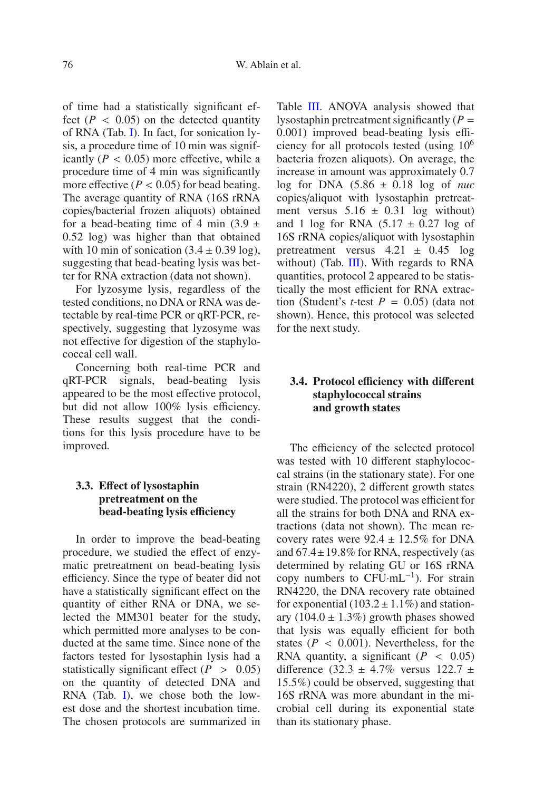of time had a statistically significant effect  $(P < 0.05)$  on the detected quantity of RNA (Tab. [I\)](#page-3-0). In fact, for sonication lysis, a procedure time of 10 min was significantly ( $P < 0.05$ ) more effective, while a procedure time of 4 min was significantly more effective ( $P < 0.05$ ) for bead beating. The average quantity of RNA (16S rRNA copies/bacterial frozen aliquots) obtained for a bead-beating time of 4 min  $(3.9 \pm 0.52 \text{ log})$  was higher than that obtained 0.52 log) was higher than that obtained<br>with 10 min of sonication  $(3.4 + 0.39 \log)$ . with 10 min of sonication  $(3.4 \pm 0.39 \log)$ ,<br>suggesting that bead-beating lysis was betsuggesting that bead-beating lysis was better for RNA extraction (data not shown).

For lyzosyme lysis, regardless of the tested conditions, no DNA or RNA was detectable by real-time PCR or qRT-PCR, respectively, suggesting that lyzosyme was not effective for digestion of the staphylococcal cell wall.

Concerning both real-time PCR and qRT-PCR signals, bead-beating lysis appeared to be the most effective protocol, but did not allow 100% lysis efficiency. These results suggest that the conditions for this lysis procedure have to be improved.

## **3.3. E**ff**ect of lysostaphin pretreatment on the bead-beating lysis e**ffi**ciency**

In order to improve the bead-beating procedure, we studied the effect of enzymatic pretreatment on bead-beating lysis efficiency. Since the type of beater did not have a statistically significant effect on the quantity of either RNA or DNA, we selected the MM301 beater for the study, which permitted more analyses to be conducted at the same time. Since none of the factors tested for lysostaphin lysis had a statistically significant effect  $(P > 0.05)$ on the quantity of detected DNA and RNA (Tab. [I\)](#page-3-0), we chose both the lowest dose and the shortest incubation time. The chosen protocols are summarized in Table [III.](#page-6-0) ANOVA analysis showed that lysostaphin pretreatment significantly (*P* = 0.001) improved bead-beating lysis effi-<br>ciency for all protocols tested (using 10<sup>6</sup> bacteria frozen aliquots). On average, the increase in amount was approximately 0.7 log for DNA (5.<sup>86</sup> <sup>±</sup> <sup>0</sup>.18 log of *nuc* copies/aliquot with lysostaphin pretreatment versus  $5.16 \pm 0.31$  log without) and 1 log for RNA  $(5.17 \pm 0.27)$  log of 16S rRNA copies/aliquot with lysostaphin pretreatment versus  $4.21 \pm 0.45$  log without) (Tab. [III\)](#page-6-0). With regards to RNA quantities, protocol 2 appeared to be statistically the most efficient for RNA extraction (Student's *<sup>t</sup>*-test *<sup>P</sup>* <sup>=</sup> <sup>0</sup>.05) (data not shown). Hence, this protocol was selected for the next study.

## **3.4. Protocol e**ffi**ciency with di**ff**erent staphylococcal strains and growth states**

The efficiency of the selected protocol was tested with 10 different staphylococcal strains (in the stationary state). For one strain (RN4220), 2 different growth states were studied. The protocol was efficient for all the strains for both DNA and RNA extractions (data not shown). The mean recovery rates were  $92.4 \pm 12.5\%$  for DNA and  $67.4 \pm 19.8\%$  for RNA, respectively (as determined by relating GU or 16S rRNA copy numbers to  $CFU·mL^{-1}$ ). For strain RN4220, the DNA recovery rate obtained for exponential (103.2  $\pm$  1.1%) and stationary  $(104.0 \pm 1.3\%)$  growth phases showed that lysis was equally efficient for both states ( $P < 0.001$ ). Nevertheless, for the RNA quantity, a significant  $(P < 0.05)$ difference  $(32.3 \pm 4.7\%$  versus  $122.7 \pm$ <sup>15</sup>.5%) could be observed, suggesting that 16S rRNA was more abundant in the microbial cell during its exponential state than its stationary phase.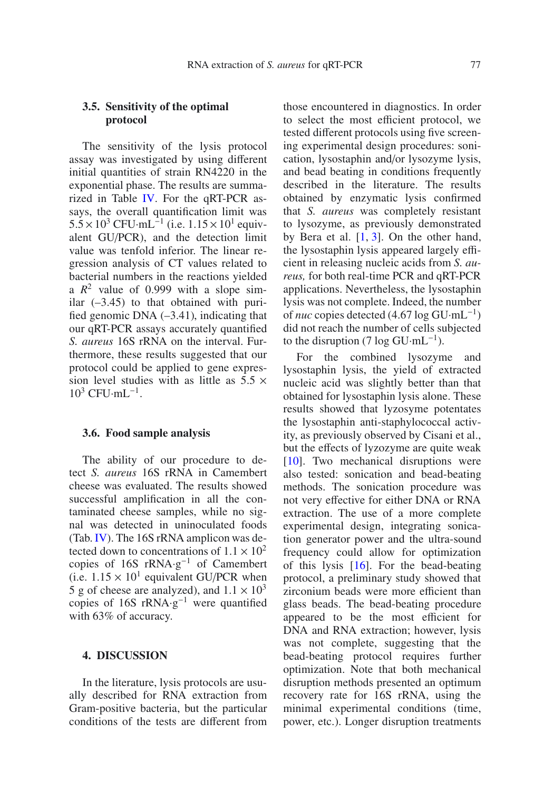## **3.5. Sensitivity of the optimal protocol**

The sensitivity of the lysis protocol assay was investigated by using different initial quantities of strain RN4220 in the exponential phase. The results are summarized in Table [IV.](#page-9-0) For the qRT-PCR assays, the overall quantification limit was  $5.5 \times 10^3$  CFU·mL<sup>-1</sup> (i.e.  $1.15 \times 10^1$  equivalent GU/PCR), and the detection limit value was tenfold inferior. The linear regression analysis of CT values related to bacterial numbers in the reactions yielded a  $R^2$  value of 0.999 with a slope similar  $(-3.45)$  to that obtained with purified genomic DNA (–3.41), indicating that our qRT-PCR assays accurately quantified *S. aureus* 16S rRNA on the interval. Furthermore, these results suggested that our protocol could be applied to gene expression level studies with as little as  $5.5 \times$  $10^3$  CFU·mL<sup>-1</sup>

#### **3.6. Food sample analysis**

The ability of our procedure to detect *S. aureus* 16S rRNA in Camembert cheese was evaluated. The results showed successful amplification in all the contaminated cheese samples, while no signal was detected in uninoculated foods (Tab. [IV\)](#page-9-0). The 16S rRNA amplicon was detected down to concentrations of  $1.1 \times 10^2$ copies of 16S rRNA·g−<sup>1</sup> of Camembert (i.e.  $1.15 \times 10^1$  equivalent GU/PCR when 5 g of cheese are analyzed), and  $1.1 \times 10^3$ copies of 16S rRNA·g−<sup>1</sup> were quantified with 63% of accuracy.

#### **4. DISCUSSION**

In the literature, lysis protocols are usually described for RNA extraction from Gram-positive bacteria, but the particular conditions of the tests are different from those encountered in diagnostics. In order to select the most efficient protocol, we tested different protocols using five screening experimental design procedures: sonication, lysostaphin and/or lysozyme lysis, and bead beating in conditions frequently described in the literature. The results obtained by enzymatic lysis confirmed that *S. aureus* was completely resistant to lysozyme, as previously demonstrated by Bera et al. [\[1,](#page-11-10) [3\]](#page-11-11). On the other hand, the lysostaphin lysis appeared largely efficient in releasing nucleic acids from *S. aureus,* for both real-time PCR and qRT-PCR applications. Nevertheless, the lysostaphin lysis was not complete. Indeed, the number of *nuc* copies detected (4.67 log GU·mL−1) did not reach the number of cells subjected to the disruption (7 log GU·mL<sup>-1</sup>).

For the combined lysozyme and lysostaphin lysis, the yield of extracted nucleic acid was slightly better than that obtained for lysostaphin lysis alone. These results showed that lyzosyme potentates the lysostaphin anti-staphylococcal activity, as previously observed by Cisani et al., but the effects of lyzozyme are quite weak [\[10](#page-11-12)]. Two mechanical disruptions were also tested: sonication and bead-beating methods. The sonication procedure was not very effective for either DNA or RNA extraction. The use of a more complete experimental design, integrating sonication generator power and the ultra-sound frequency could allow for optimization of this lysis [\[16\]](#page-12-0). For the bead-beating protocol, a preliminary study showed that zirconium beads were more efficient than glass beads. The bead-beating procedure appeared to be the most efficient for DNA and RNA extraction; however, lysis was not complete, suggesting that the bead-beating protocol requires further optimization. Note that both mechanical disruption methods presented an optimum recovery rate for 16S rRNA, using the minimal experimental conditions (time, power, etc.). Longer disruption treatments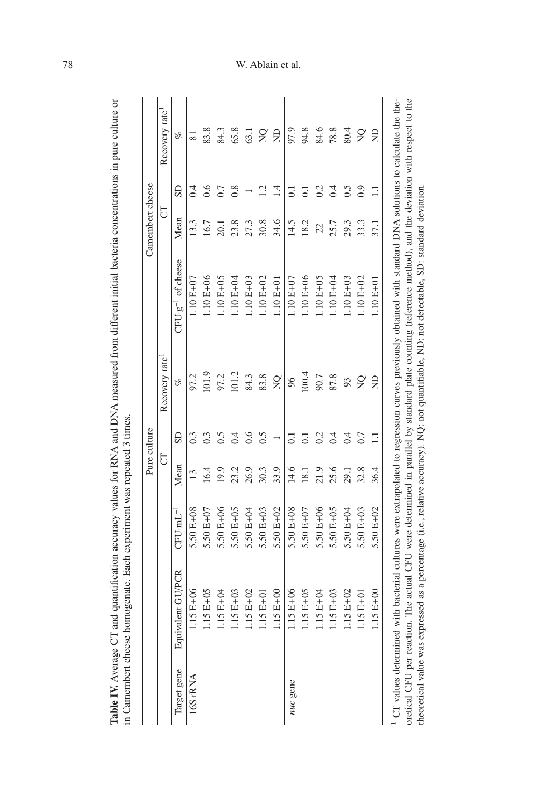<span id="page-9-0"></span>

| Recovery rate<br>101.9<br>101.2<br>97.2<br>97.2<br>e<br>C<br>$0.\overline{3}$<br>0.3<br>0.5<br>0.4<br>SD<br>5<br>Mean<br>16.4<br>19.9<br>23.2<br>$\overline{13}$<br>5.50 $E+08$<br>$CFU·mL^{-1}$<br>5.50 $E+07$<br>$5.50 E + 06$<br>$5.50 E + 05$                                        | CFU- $g^{-1}$ of cheese |                          |                            |
|------------------------------------------------------------------------------------------------------------------------------------------------------------------------------------------------------------------------------------------------------------------------------------------|-------------------------|--------------------------|----------------------------|
|                                                                                                                                                                                                                                                                                          |                         | 5                        | Recovery rate <sup>1</sup> |
|                                                                                                                                                                                                                                                                                          |                         | SD<br>Mean               | ofo                        |
|                                                                                                                                                                                                                                                                                          | $1.10E + 07$            | 0.4<br>13.3              | 81                         |
|                                                                                                                                                                                                                                                                                          | $1.10E + 06$            | 16.7                     | 83.8                       |
|                                                                                                                                                                                                                                                                                          | $1.10E + 0.5$           | 20.1                     | 84.3                       |
|                                                                                                                                                                                                                                                                                          | $1.10E + 04$            | $0.\overline{8}$<br>23.8 | 65.8                       |
| 84.3<br>0.6<br>26.9<br>5.50 E+04                                                                                                                                                                                                                                                         | $1.10E+03$              | 27.3                     | 63.1                       |
| 83.8<br>$\overline{0.5}$<br>30.3<br>5.50 $E+03$                                                                                                                                                                                                                                          | $1.10E+02$              | $\overline{12}$<br>30.8  | $\widetilde{\mathbf{z}}$   |
| $\widetilde{z}$<br>33.9<br>5.50 $E+02$                                                                                                                                                                                                                                                   | $1.10E+01$              | $\vec{=}$<br>34.6        | g                          |
| 96<br>5<br>14.6<br>$5.50 E + 08$                                                                                                                                                                                                                                                         | $1.10E + 07$            | 14.5                     | 97.9                       |
| 100.4<br>$\overline{C}$<br>18.1<br>5.50 $E+07$                                                                                                                                                                                                                                           | $1.10E + 06$            | 18.2                     | 94.8                       |
| 90.7<br>0.2<br>21.9<br>$5.50 E + 06$                                                                                                                                                                                                                                                     | $1.10E+05$              | 0.2<br>22                | 84.6                       |
| 87.8<br>0.4<br>25.6<br>5.50 E+05                                                                                                                                                                                                                                                         | $1.10 E + 04$           | 0.4<br>25.7              | 78.8                       |
| 93<br>0.4<br>29.1<br>$5.50E+04$                                                                                                                                                                                                                                                          | $1.10 E + 03$           | 0.5<br>29.3              | 80.4                       |
| $\widetilde{z}$<br>0.7<br>32.8<br>$5.50 E + 03$                                                                                                                                                                                                                                          | $1.10 E + 02$           | 33.3                     | $\widetilde{C}$            |
| £<br>36.4<br>$5.50 E + 02$                                                                                                                                                                                                                                                               | $1.10E + 01$            | 37.1                     | £                          |
| The actual CFU were determined in parallel by standard plate counting (reference method), and the deviation with respect to the<br>CT values determined with bacterial cultures were extrapolated to regression curves previously obtained with standard DNA solutions to calculate the- |                         |                          |                            |
| theoretical value was expressed as a percentage (i.e., relative accuracy). NQ: not quantifiable, ND: not detectable, SD: standard deviation.                                                                                                                                             |                         |                          | $\overline{0}$ .           |

Table IV. Average CT and quantification accuracy values for RNA and DNA measured from different initial bacteria concentrations in pure culture or fferent initial bacteria concentrations in pure culture or **Table IV.** Average CT and quantification accuracy values for RNA and DNA measured from di ranagtad 3 times in Camembert cheese homogenate. Each experiment was repeated 3 times. angta Egob avnariment was in Camembert cheese homo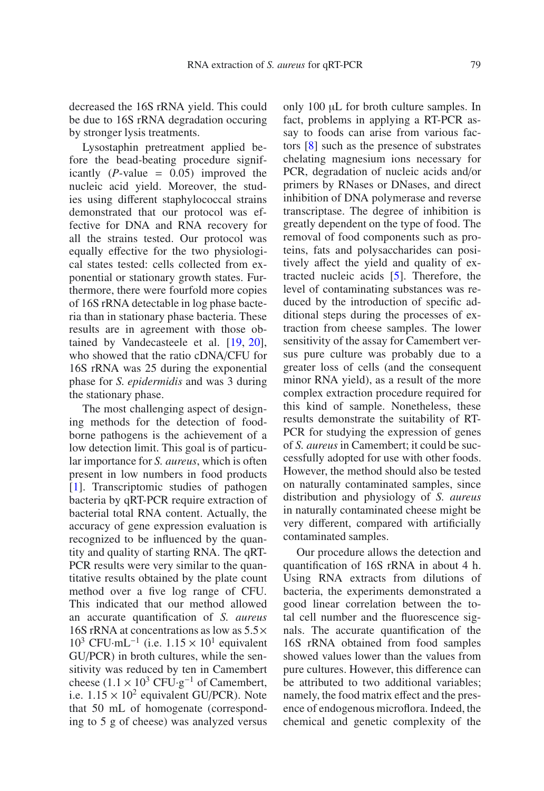decreased the 16S rRNA yield. This could be due to 16S rRNA degradation occuring by stronger lysis treatments.

Lysostaphin pretreatment applied before the bead-beating procedure significantly  $(P$ -value = 0.05) improved the nucleic acid yield. Moreover, the studies using different staphylococcal strains demonstrated that our protocol was effective for DNA and RNA recovery for all the strains tested. Our protocol was equally effective for the two physiological states tested: cells collected from exponential or stationary growth states. Furthermore, there were fourfold more copies of 16S rRNA detectable in log phase bacteria than in stationary phase bacteria. These results are in agreement with those obtained by Vandecasteele et al. [\[19](#page-12-4), [20\]](#page-12-5), who showed that the ratio cDNA/CFU for 16S rRNA was 25 during the exponential phase for *S. epidermidis* and was 3 during the stationary phase.

The most challenging aspect of designing methods for the detection of foodborne pathogens is the achievement of a low detection limit. This goal is of particular importance for *S. aureus*, which is often present in low numbers in food products [\[1\]](#page-11-10). Transcriptomic studies of pathogen bacteria by qRT-PCR require extraction of bacterial total RNA content. Actually, the accuracy of gene expression evaluation is recognized to be influenced by the quantity and quality of starting RNA. The qRT-PCR results were very similar to the quantitative results obtained by the plate count method over a five log range of CFU. This indicated that our method allowed an accurate quantification of *S. aureus* 16S rRNA at concentrations as low as 5.5<sup>×</sup>  $10^3$  CFU·mL<sup>-1</sup> (i.e.  $1.15 \times 10^1$  equivalent GU/PCR) in broth cultures, while the sensitivity was reduced by ten in Camembert cheese ( $1.1 \times 10^3$  CFU·g<sup>-1</sup> of Camembert, i.e.  $1.15 \times 10^2$  equivalent GU/PCR). Note that 50 mL of homogenate (corresponding to 5 g of cheese) was analyzed versus only 100 µL for broth culture samples. In fact, problems in applying a RT-PCR assay to foods can arise from various factors [\[8](#page-11-13)] such as the presence of substrates chelating magnesium ions necessary for PCR, degradation of nucleic acids and/or primers by RNases or DNases, and direct inhibition of DNA polymerase and reverse transcriptase. The degree of inhibition is greatly dependent on the type of food. The removal of food components such as proteins, fats and polysaccharides can positively affect the yield and quality of extracted nucleic acids [\[5\]](#page-11-14). Therefore, the level of contaminating substances was reduced by the introduction of specific additional steps during the processes of extraction from cheese samples. The lower sensitivity of the assay for Camembert versus pure culture was probably due to a greater loss of cells (and the consequent minor RNA yield), as a result of the more complex extraction procedure required for this kind of sample. Nonetheless, these results demonstrate the suitability of RT-PCR for studying the expression of genes of *S. aureus* in Camembert; it could be successfully adopted for use with other foods. However, the method should also be tested on naturally contaminated samples, since distribution and physiology of *S. aureus* in naturally contaminated cheese might be very different, compared with artificially contaminated samples.

Our procedure allows the detection and quantification of 16S rRNA in about 4 h. Using RNA extracts from dilutions of bacteria, the experiments demonstrated a good linear correlation between the total cell number and the fluorescence signals. The accurate quantification of the 16S rRNA obtained from food samples showed values lower than the values from pure cultures. However, this difference can be attributed to two additional variables; namely, the food matrix effect and the presence of endogenous microflora. Indeed, the chemical and genetic complexity of the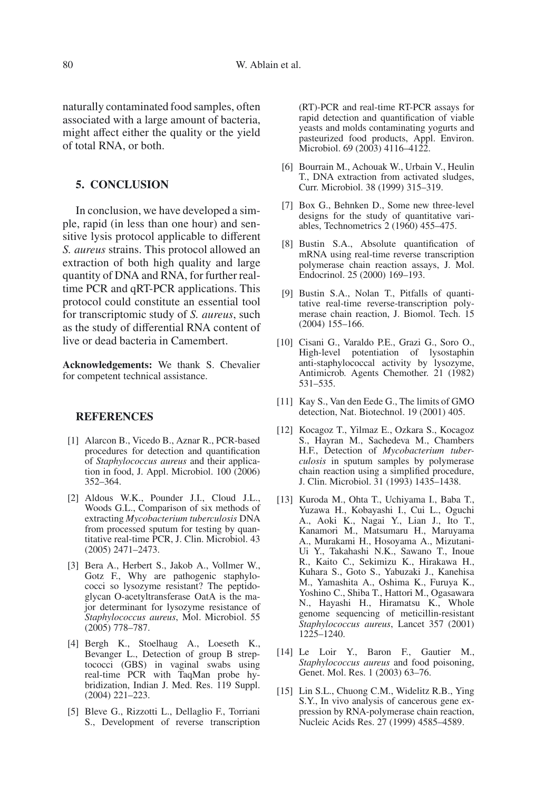naturally contaminated food samples, often associated with a large amount of bacteria, might affect either the quality or the yield of total RNA, or both.

#### **5. CONCLUSION**

In conclusion, we have developed a simple, rapid (in less than one hour) and sensitive lysis protocol applicable to different *S. aureus* strains. This protocol allowed an extraction of both high quality and large quantity of DNA and RNA, for further realtime PCR and qRT-PCR applications. This protocol could constitute an essential tool for transcriptomic study of *S. aureus*, such as the study of differential RNA content of live or dead bacteria in Camembert.

**Acknowledgements:** We thank S. Chevalier for competent technical assistance.

## **REFERENCES**

- <span id="page-11-10"></span>[1] Alarcon B., Vicedo B., Aznar R., PCR-based procedures for detection and quantification of *Staphylococcus aureus* and their application in food, J. Appl. Microbiol. 100 (2006) 352–364.
- <span id="page-11-2"></span>[2] Aldous W.K., Pounder J.I., Cloud J.L., Woods G.L., Comparison of six methods of extracting *Mycobacterium tuberculosis* DNA from processed sputum for testing by quantitative real-time PCR, J. Clin. Microbiol. 43 (2005) 2471–2473.
- <span id="page-11-11"></span>[3] Bera A., Herbert S., Jakob A., Vollmer W., Gotz F., Why are pathogenic staphylococci so lysozyme resistant? The peptidoglycan O-acetyltransferase OatA is the major determinant for lysozyme resistance of *Staphylococcus aureus*, Mol. Microbiol. 55 (2005) 778–787.
- <span id="page-11-3"></span>[4] Bergh K., Stoelhaug A., Loeseth K., Bevanger L., Detection of group B streptococci (GBS) in vaginal swabs using real-time PCR with TaqMan probe hybridization, Indian J. Med. Res. 119 Suppl. (2004) 221–223.
- <span id="page-11-14"></span>[5] Bleve G., Rizzotti L., Dellaglio F., Torriani S., Development of reverse transcription

(RT)-PCR and real-time RT-PCR assays for rapid detection and quantification of viable yeasts and molds contaminating yogurts and pasteurized food products, Appl. Environ. Microbiol. 69 (2003) 4116–4122.

- <span id="page-11-4"></span>[6] Bourrain M., Achouak W., Urbain V., Heulin T., DNA extraction from activated sludges, Curr. Microbiol. 38 (1999) 315–319.
- <span id="page-11-7"></span>[7] Box G., Behnken D., Some new three-level designs for the study of quantitative variables, Technometrics 2 (1960) 455–475.
- <span id="page-11-13"></span>[8] Bustin S.A., Absolute quantification of mRNA using real-time reverse transcription polymerase chain reaction assays, J. Mol. Endocrinol. 25 (2000) 169–193.
- <span id="page-11-1"></span>[9] Bustin S.A., Nolan T., Pitfalls of quantitative real-time reverse-transcription polymerase chain reaction, J. Biomol. Tech. 15 (2004) 155–166.
- <span id="page-11-12"></span>[10] Cisani G., Varaldo P.E., Grazi G., Soro O., High-level potentiation of lysostaphin anti-staphylococcal activity by lysozyme, Antimicrob. Agents Chemother. 21 (1982) 531–535.
- <span id="page-11-9"></span>[11] Kay S., Van den Eede G., The limits of GMO detection, Nat. Biotechnol. 19 (2001) 405.
- <span id="page-11-5"></span>[12] Kocagoz T., Yilmaz E., Ozkara S., Kocagoz S., Hayran M., Sachedeva M., Chambers H.F., Detection of *Mycobacterium tuberculosis* in sputum samples by polymerase chain reaction using a simplified procedure, J. Clin. Microbiol. 31 (1993) 1435–1438.
- <span id="page-11-8"></span>[13] Kuroda M., Ohta T., Uchiyama I., Baba T., Yuzawa H., Kobayashi I., Cui L., Oguchi A., Aoki K., Nagai Y., Lian J., Ito T., Kanamori M., Matsumaru H., Maruyama A., Murakami H., Hosoyama A., Mizutani-Ui Y., Takahashi N.K., Sawano T., Inoue R., Kaito C., Sekimizu K., Hirakawa H., Kuhara S., Goto S., Yabuzaki J., Kanehisa M., Yamashita A., Oshima K., Furuya K., Yoshino C., Shiba T., Hattori M., Ogasawara N., Hayashi H., Hiramatsu K., Whole genome sequencing of meticillin-resistant *Staphylococcus aureus*, Lancet 357 (2001) 1225–1240.
- <span id="page-11-6"></span>[14] Le Loir Y., Baron F., Gautier M., *Staphylococcus aureus* and food poisoning, Genet. Mol. Res. 1 (2003) 63–76.
- <span id="page-11-0"></span>[15] Lin S.L., Chuong C.M., Widelitz R.B., Ying S.Y., In vivo analysis of cancerous gene expression by RNA-polymerase chain reaction, Nucleic Acids Res. 27 (1999) 4585–4589.